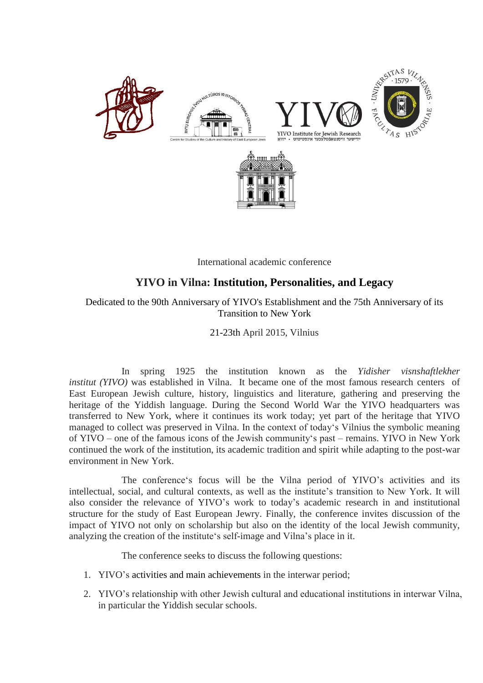

International academic conference

## **YIVO in Vilna: Institution, Personalities, and Legacy**

Dedicated to the 90th Anniversary of YIVO's Establishment and the 75th Anniversary of its Transition to New York

21-23th April 2015, Vilnius

In spring 1925 the institution known as the *Yidisher visnshaftlekher institut (YIVO)* was established in Vilna. It became one of the most famous research centers of East European Jewish culture, history, linguistics and literature, gathering and preserving the heritage of the Yiddish language. During the Second World War the YIVO headquarters was transferred to New York, where it continues its work today; yet part of the heritage that YIVO managed to collect was preserved in Vilna. In the context of today's Vilnius the symbolic meaning of YIVO – one of the famous icons of the Jewish community's past – remains. YIVO in New York continued the work of the institution, its academic tradition and spirit while adapting to the post-war environment in New York.

The conference's focus will be the Vilna period of YIVO's activities and its intellectual, social, and cultural contexts, as well as the institute's transition to New York. It will also consider the relevance of YIVO's work to today's academic research in and institutional structure for the study of East European Jewry. Finally, the conference invites discussion of the impact of YIVO not only on scholarship but also on the identity of the local Jewish community, analyzing the creation of the institute's self-image and Vilna's place in it.

The conference seeks to discuss the following questions:

- 1. YIVO's activities and main achievements in the interwar period;
- 2. YIVO's relationship with other Jewish cultural and educational institutions in interwar Vilna, in particular the Yiddish secular schools.